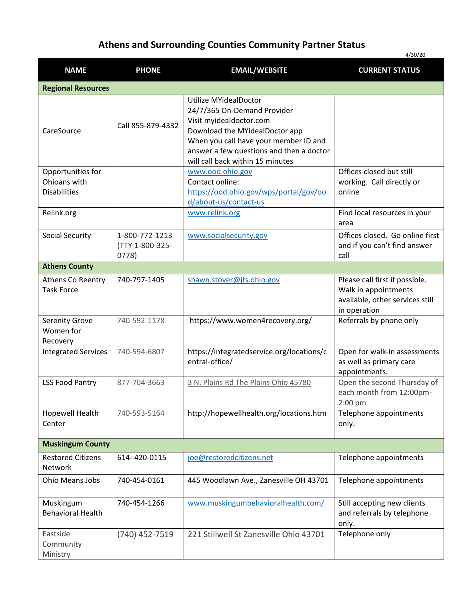## **Athens and Surrounding Counties Community Partner Status**

|                                                          |                                            |                                                                                                                                                                                                                                                   | 4/30/20                                                                                                   |
|----------------------------------------------------------|--------------------------------------------|---------------------------------------------------------------------------------------------------------------------------------------------------------------------------------------------------------------------------------------------------|-----------------------------------------------------------------------------------------------------------|
| <b>NAME</b>                                              | <b>PHONE</b>                               | <b>EMAIL/WEBSITE</b>                                                                                                                                                                                                                              | <b>CURRENT STATUS</b>                                                                                     |
| <b>Regional Resources</b>                                |                                            |                                                                                                                                                                                                                                                   |                                                                                                           |
| CareSource                                               | Call 855-879-4332                          | <b>Utilize MYidealDoctor</b><br>24/7/365 On-Demand Provider<br>Visit myidealdoctor.com<br>Download the MYidealDoctor app<br>When you call have your member ID and<br>answer a few questions and then a doctor<br>will call back within 15 minutes |                                                                                                           |
| Opportunities for<br>Ohioans with<br><b>Disabilities</b> |                                            | www.ood.ohio.gov<br>Contact online:<br>https://ood.ohio.gov/wps/portal/gov/oo<br>d/about-us/contact-us                                                                                                                                            | Offices closed but still<br>working. Call directly or<br>online                                           |
| Relink.org                                               |                                            | www.relink.org                                                                                                                                                                                                                                    | Find local resources in your<br>area                                                                      |
| <b>Social Security</b>                                   | 1-800-772-1213<br>(TTY 1-800-325-<br>0778) | www.socialsecurity.gov                                                                                                                                                                                                                            | Offices closed. Go online first<br>and if you can't find answer<br>call                                   |
| <b>Athens County</b>                                     |                                            |                                                                                                                                                                                                                                                   |                                                                                                           |
| Athens Co Reentry<br><b>Task Force</b>                   | 740-797-1405                               | shawn.stover@jfs.ohio.gov                                                                                                                                                                                                                         | Please call first if possible.<br>Walk in appointments<br>available, other services still<br>in operation |
| <b>Serenity Grove</b><br>Women for<br>Recovery           | 740-592-1178                               | https://www.women4recovery.org/                                                                                                                                                                                                                   | Referrals by phone only                                                                                   |
| <b>Integrated Services</b>                               | 740-594-6807                               | https://integratedservice.org/locations/c<br>entral-office/                                                                                                                                                                                       | Open for walk-in assessments<br>as well as primary care<br>appointments.                                  |
| <b>LSS Food Pantry</b>                                   | 877-704-3663                               | 3 N. Plains Rd The Plains Ohio 45780                                                                                                                                                                                                              | Open the second Thursday of<br>each month from 12:00pm-<br>$2:00$ pm                                      |
| Hopewell Health<br>Center                                | 740-593-5164                               | http://hopewellhealth.org/locations.htm                                                                                                                                                                                                           | Telephone appointments<br>only.                                                                           |
| <b>Muskingum County</b>                                  |                                            |                                                                                                                                                                                                                                                   |                                                                                                           |
| <b>Restored Citizens</b><br><b>Network</b>               | 614-420-0115                               | joe@restoredcitizens.net                                                                                                                                                                                                                          | Telephone appointments                                                                                    |
| <b>Ohio Means Jobs</b>                                   | 740-454-0161                               | 445 Woodlawn Ave., Zanesville OH 43701                                                                                                                                                                                                            | Telephone appointments                                                                                    |
| Muskingum<br><b>Behavioral Health</b>                    | 740-454-1266                               | www.muskingumbehavioralhealth.com/                                                                                                                                                                                                                | Still accepting new clients<br>and referrals by telephone<br>only.                                        |
| Eastside<br>Community<br>Ministry                        | (740) 452-7519                             | 221 Stillwell St Zanesville Ohio 43701                                                                                                                                                                                                            | Telephone only                                                                                            |